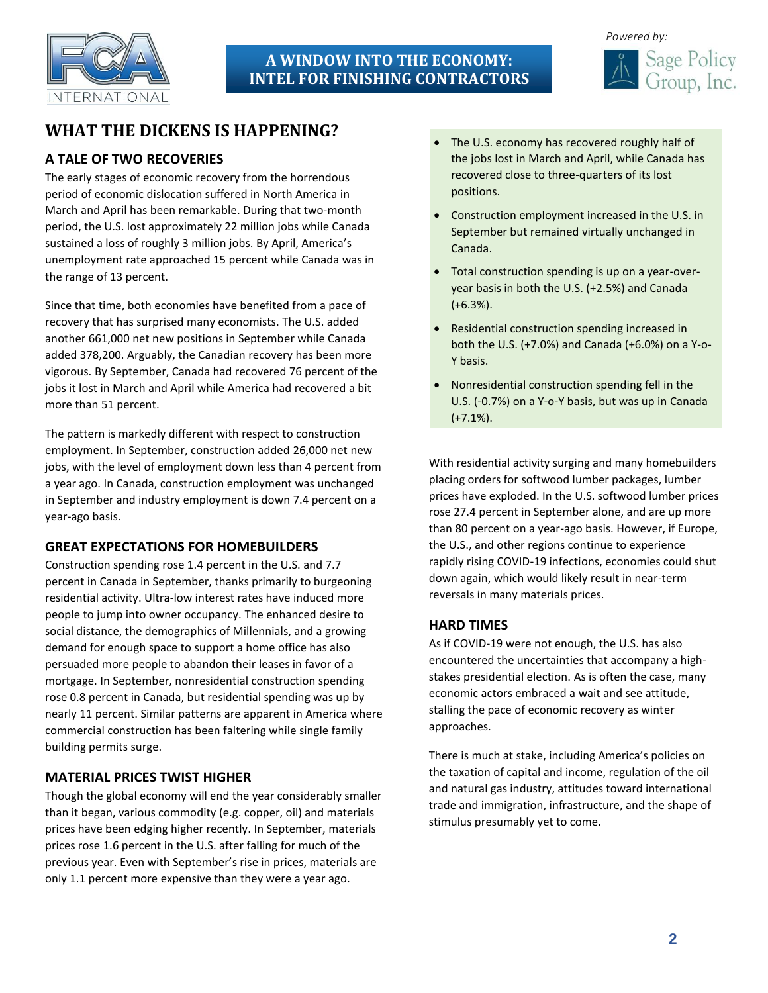

# **A WINDOW INTO THE ECONOMY: INTEL FOR FINISHING CONTRACTORS**



# **WHAT THE DICKENS IS HAPPENING?**

### **A TALE OF TWO RECOVERIES**

The early stages of economic recovery from the horrendous period of economic dislocation suffered in North America in March and April has been remarkable. During that two-month period, the U.S. lost approximately 22 million jobs while Canada sustained a loss of roughly 3 million jobs. By April, America's unemployment rate approached 15 percent while Canada was in the range of 13 percent.

Since that time, both economies have benefited from a pace of recovery that has surprised many economists. The U.S. added another 661,000 net new positions in September while Canada added 378,200. Arguably, the Canadian recovery has been more vigorous. By September, Canada had recovered 76 percent of the jobs it lost in March and April while America had recovered a bit more than 51 percent.

The pattern is markedly different with respect to construction employment. In September, construction added 26,000 net new jobs, with the level of employment down less than 4 percent from a year ago. In Canada, construction employment was unchanged in September and industry employment is down 7.4 percent on a year-ago basis.

#### **GREAT EXPECTATIONS FOR HOMEBUILDERS**

Construction spending rose 1.4 percent in the U.S. and 7.7 percent in Canada in September, thanks primarily to burgeoning residential activity. Ultra-low interest rates have induced more people to jump into owner occupancy. The enhanced desire to social distance, the demographics of Millennials, and a growing demand for enough space to support a home office has also persuaded more people to abandon their leases in favor of a mortgage. In September, nonresidential construction spending rose 0.8 percent in Canada, but residential spending was up by nearly 11 percent. Similar patterns are apparent in America where commercial construction has been faltering while single family building permits surge.

#### **MATERIAL PRICES TWIST HIGHER**

Though the global economy will end the year considerably smaller than it began, various commodity (e.g. copper, oil) and materials prices have been edging higher recently. In September, materials prices rose 1.6 percent in the U.S. after falling for much of the previous year. Even with September's rise in prices, materials are only 1.1 percent more expensive than they were a year ago.

- The U.S. economy has recovered roughly half of the jobs lost in March and April, while Canada has recovered close to three-quarters of its lost positions.
- Construction employment increased in the U.S. in September but remained virtually unchanged in Canada.
- Total construction spending is up on a year-overyear basis in both the U.S. (+2.5%) and Canada (+6.3%).
- Residential construction spending increased in both the U.S. (+7.0%) and Canada (+6.0%) on a Y-o-Y basis.
- Nonresidential construction spending fell in the U.S. (-0.7%) on a Y-o-Y basis, but was up in Canada (+7.1%).

With residential activity surging and many homebuilders placing orders for softwood lumber packages, lumber prices have exploded. In the U.S. softwood lumber prices rose 27.4 percent in September alone, and are up more than 80 percent on a year-ago basis. However, if Europe, the U.S., and other regions continue to experience rapidly rising COVID-19 infections, economies could shut down again, which would likely result in near-term reversals in many materials prices.

#### **HARD TIMES**

As if COVID-19 were not enough, the U.S. has also encountered the uncertainties that accompany a highstakes presidential election. As is often the case, many economic actors embraced a wait and see attitude, stalling the pace of economic recovery as winter approaches.

There is much at stake, including America's policies on the taxation of capital and income, regulation of the oil and natural gas industry, attitudes toward international trade and immigration, infrastructure, and the shape of stimulus presumably yet to come.